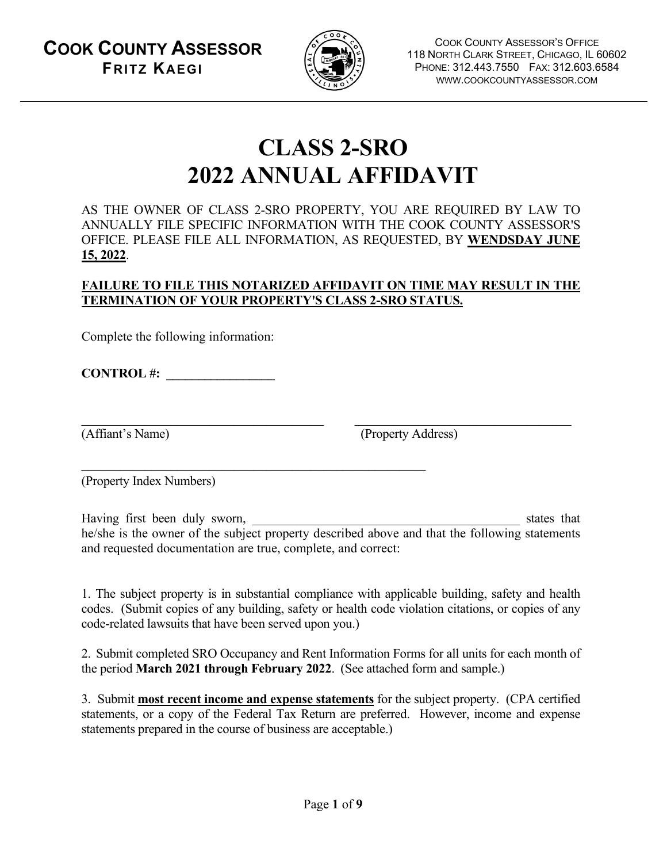**COOK COUNTY ASSESSOR FRITZ KAEGI**



COOK COUNTY ASSESSOR'S OFFICE 118 NORTH CLARK STREET, CHICAGO, IL 60602 PHONE: 312.443.7550 FAX: 312.603.6584 WWW.COOKCOUNTYASSESSOR.COM

# **CLASS 2-SRO 2022 ANNUAL AFFIDAVIT**

AS THE OWNER OF CLASS 2-SRO PROPERTY, YOU ARE REQUIRED BY LAW TO ANNUALLY FILE SPECIFIC INFORMATION WITH THE COOK COUNTY ASSESSOR'S OFFICE. PLEASE FILE ALL INFORMATION, AS REQUESTED, BY **WENDSDAY JUNE 15, 2022**.

#### **FAILURE TO FILE THIS NOTARIZED AFFIDAVIT ON TIME MAY RESULT IN THE TERMINATION OF YOUR PROPERTY'S CLASS 2-SRO STATUS.**

Complete the following information:

**CONTROL #: \_\_\_\_\_\_\_\_\_\_\_\_\_\_\_\_\_**

\_\_\_\_\_\_\_\_\_\_\_\_\_\_\_\_\_\_\_\_\_\_\_\_\_\_\_\_\_\_\_\_\_\_\_\_\_\_ \_\_\_\_\_\_\_\_\_\_\_\_\_\_\_\_\_\_\_\_\_\_\_\_\_\_\_\_\_\_\_\_\_\_

(Affiant's Name) (Property Address)

(Property Index Numbers)

Having first been duly sworn, \_\_\_\_\_\_\_\_\_\_\_\_\_\_\_\_\_\_\_\_\_\_\_\_\_\_\_\_\_\_\_\_\_\_\_\_\_\_\_\_\_\_ states that he/she is the owner of the subject property described above and that the following statements and requested documentation are true, complete, and correct:

1. The subject property is in substantial compliance with applicable building, safety and health codes. (Submit copies of any building, safety or health code violation citations, or copies of any code-related lawsuits that have been served upon you.)

2. Submit completed SRO Occupancy and Rent Information Forms for all units for each month of the period **March 2021 through February 2022**. (See attached form and sample.)

3. Submit **most recent income and expense statements** for the subject property. (CPA certified statements, or a copy of the Federal Tax Return are preferred. However, income and expense statements prepared in the course of business are acceptable.)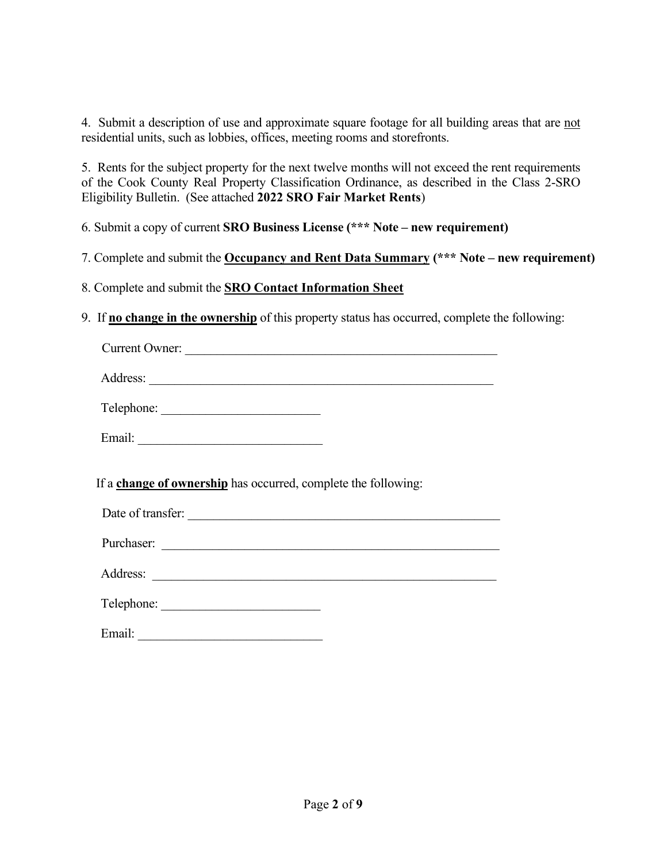4. Submit a description of use and approximate square footage for all building areas that are not residential units, such as lobbies, offices, meeting rooms and storefronts.

5. Rents for the subject property for the next twelve months will not exceed the rent requirements of the Cook County Real Property Classification Ordinance, as described in the Class 2-SRO Eligibility Bulletin. (See attached **2022 SRO Fair Market Rents**)

6. Submit a copy of current **SRO Business License (\*\*\* Note – new requirement)**

7. Complete and submit the **Occupancy and Rent Data Summary (\*\*\* Note – new requirement)**

8. Complete and submit the **SRO Contact Information Sheet** 

9. If **no change in the ownership** of this property status has occurred, complete the following:

| Current Owner:                                                 |
|----------------------------------------------------------------|
|                                                                |
| Telephone:                                                     |
|                                                                |
|                                                                |
| If a change of ownership has occurred, complete the following: |
| Date of transfer:<br>Purchaser:                                |
|                                                                |
|                                                                |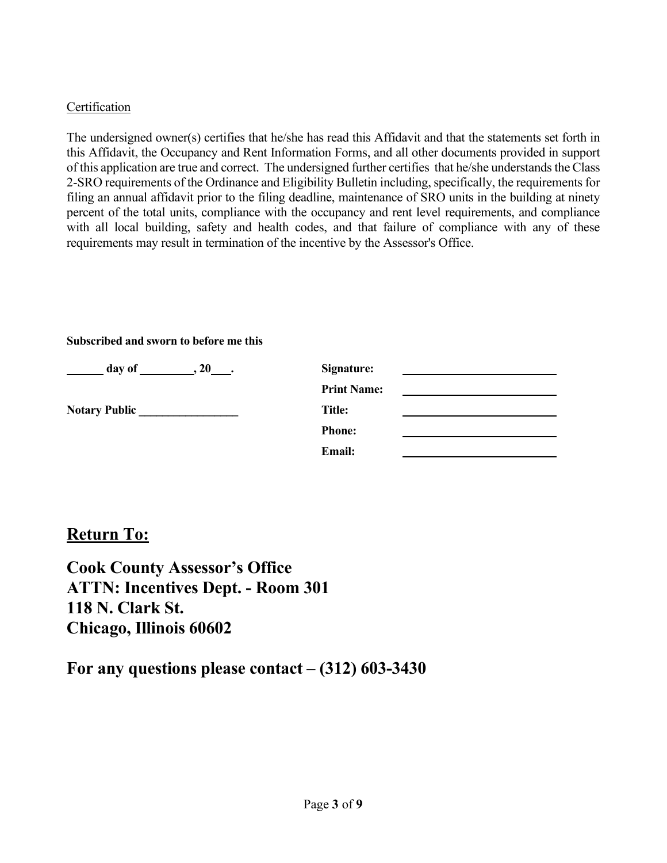#### **Certification**

The undersigned owner(s) certifies that he/she has read this Affidavit and that the statements set forth in this Affidavit, the Occupancy and Rent Information Forms, and all other documents provided in support of this application are true and correct. The undersigned further certifies that he/she understands the Class 2-SRO requirements of the Ordinance and Eligibility Bulletin including, specifically, the requirements for filing an annual affidavit prior to the filing deadline, maintenance of SRO units in the building at ninety percent of the total units, compliance with the occupancy and rent level requirements, and compliance with all local building, safety and health codes, and that failure of compliance with any of these requirements may result in termination of the incentive by the Assessor's Office.

#### **Subscribed and sworn to before me this**

| day of               | Signature:         |  |
|----------------------|--------------------|--|
|                      | <b>Print Name:</b> |  |
| <b>Notary Public</b> | Title:             |  |
|                      | <b>Phone:</b>      |  |
|                      | <b>Email:</b>      |  |

### **Return To:**

**Cook County Assessor's Office ATTN: Incentives Dept. - Room 301 118 N. Clark St. Chicago, Illinois 60602**

**For any questions please contact – (312) 603-3430**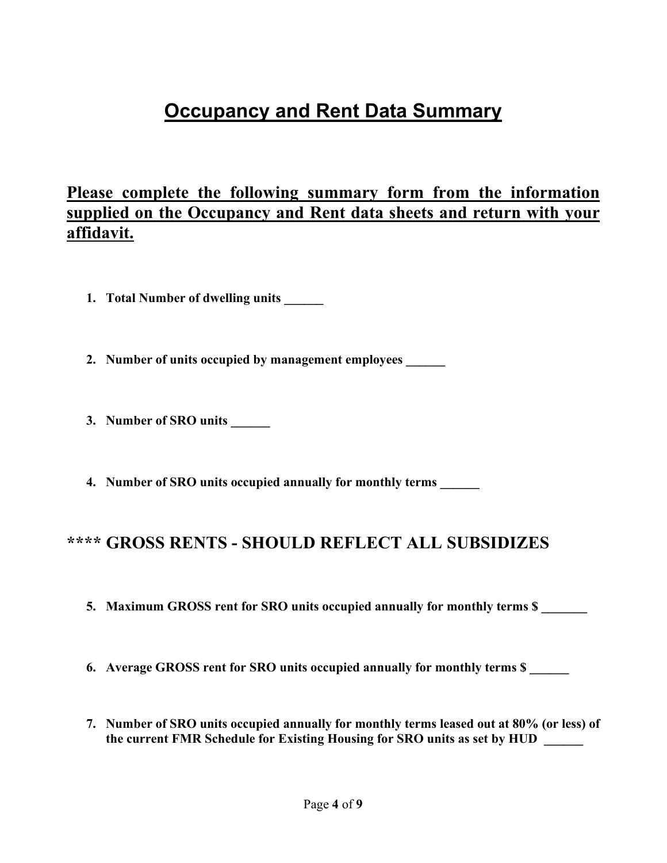# **Occupancy and Rent Data Summary**

### **Please complete the following summary form from the information supplied on the Occupancy and Rent data sheets and return with your affidavit.**

**1. Total Number of dwelling units \_\_\_\_\_\_** 

**2. Number of units occupied by management employees \_\_\_\_\_\_** 

- **3. Number of SRO units \_\_\_\_\_\_**
- **4. Number of SRO units occupied annually for monthly terms \_\_\_\_\_\_**

### **\*\*\*\* GROSS RENTS - SHOULD REFLECT ALL SUBSIDIZES**

- **5. Maximum GROSS rent for SRO units occupied annually for monthly terms \$ \_\_\_\_\_\_\_**
- **6.** Average GROSS rent for SRO units occupied annually for monthly terms \$
- **7. Number of SRO units occupied annually for monthly terms leased out at 80% (or less) of**  the current FMR Schedule for Existing Housing for SRO units as set by HUD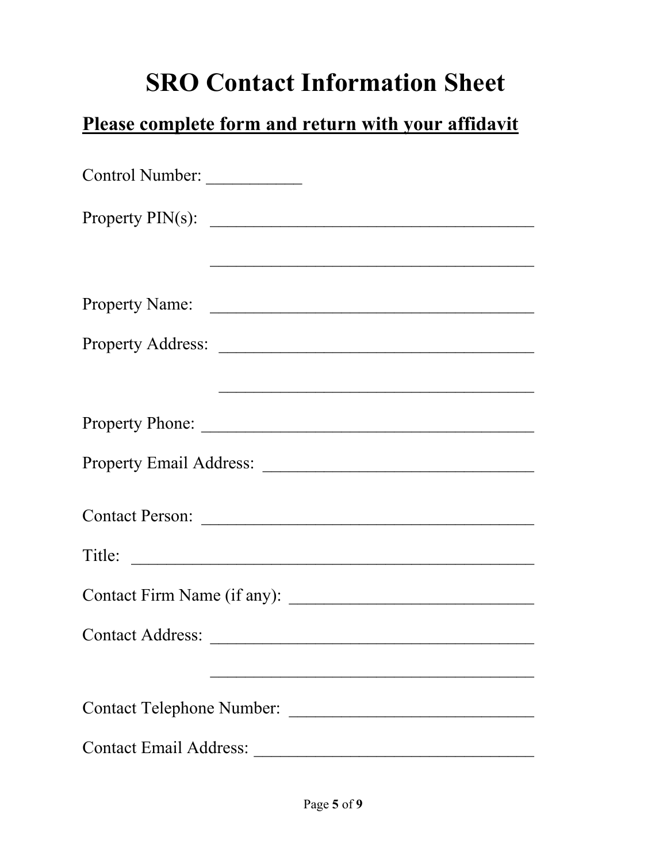# **SRO Contact Information Sheet**

# **Please complete form and return with your affidavit**

| Control Number:                  |
|----------------------------------|
| Property $PIN(s)$ :              |
|                                  |
| Property Name:                   |
| Property Address:                |
|                                  |
|                                  |
|                                  |
|                                  |
| Title:                           |
|                                  |
| Contact Address:                 |
|                                  |
| <b>Contact Telephone Number:</b> |
| <b>Contact Email Address:</b>    |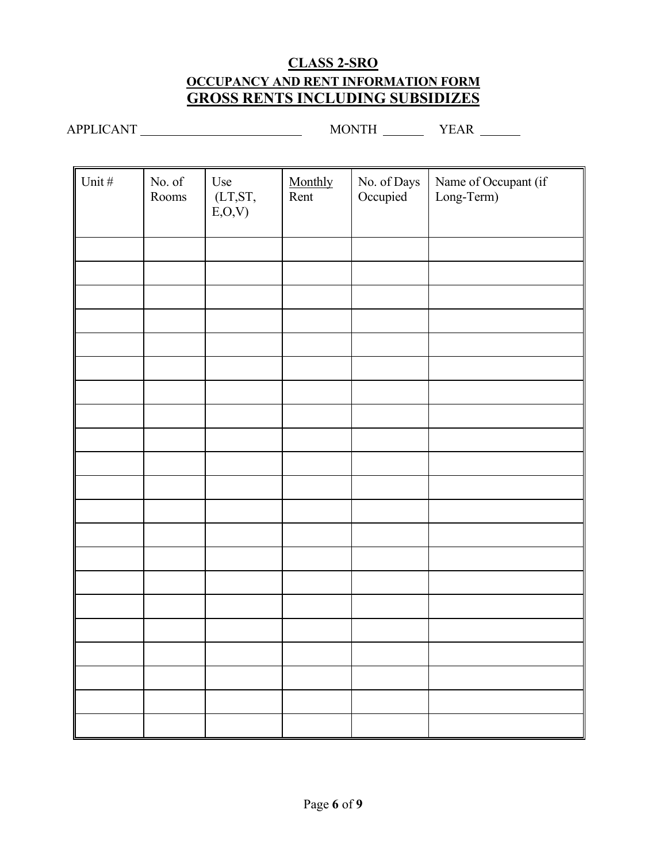### **CLASS 2-SRO OCCUPANCY AND RENT INFORMATION FORM GROSS RENTS INCLUDING SUBSIDIZES**

APPLICANT MONTH YEAR

| Unit # | No. of $\,$<br>Rooms | Use<br>$(LT,ST,$<br>E, O, V | Monthly<br>Rent | No. of Days<br>Occupied | Name of Occupant (if<br>Long-Term) |
|--------|----------------------|-----------------------------|-----------------|-------------------------|------------------------------------|
|        |                      |                             |                 |                         |                                    |
|        |                      |                             |                 |                         |                                    |
|        |                      |                             |                 |                         |                                    |
|        |                      |                             |                 |                         |                                    |
|        |                      |                             |                 |                         |                                    |
|        |                      |                             |                 |                         |                                    |
|        |                      |                             |                 |                         |                                    |
|        |                      |                             |                 |                         |                                    |
|        |                      |                             |                 |                         |                                    |
|        |                      |                             |                 |                         |                                    |
|        |                      |                             |                 |                         |                                    |
|        |                      |                             |                 |                         |                                    |
|        |                      |                             |                 |                         |                                    |
|        |                      |                             |                 |                         |                                    |
|        |                      |                             |                 |                         |                                    |
|        |                      |                             |                 |                         |                                    |
|        |                      |                             |                 |                         |                                    |
|        |                      |                             |                 |                         |                                    |
|        |                      |                             |                 |                         |                                    |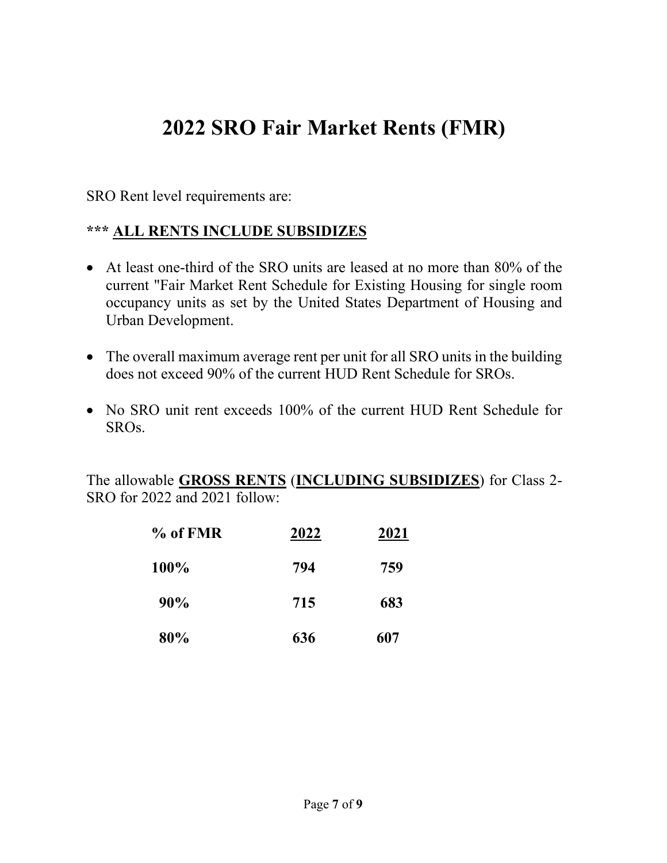# **2022 SRO Fair Market Rents (FMR)**

SRO Rent level requirements are:

### **\*\*\* ALL RENTS INCLUDE SUBSIDIZES**

- At least one-third of the SRO units are leased at no more than 80% of the current "Fair Market Rent Schedule for Existing Housing for single room occupancy units as set by the United States Department of Housing and Urban Development.
- The overall maximum average rent per unit for all SRO units in the building does not exceed 90% of the current HUD Rent Schedule for SROs.
- No SRO unit rent exceeds 100% of the current HUD Rent Schedule for SROs.

The allowable **GROSS RENTS** (**INCLUDING SUBSIDIZES**) for Class 2- SRO for 2022 and 2021 follow:

| % of FMR | 2022 | 2021 |
|----------|------|------|
| 100%     | 794  | 759  |
| 90%      | 715  | 683  |
| 80%      | 636  | 607  |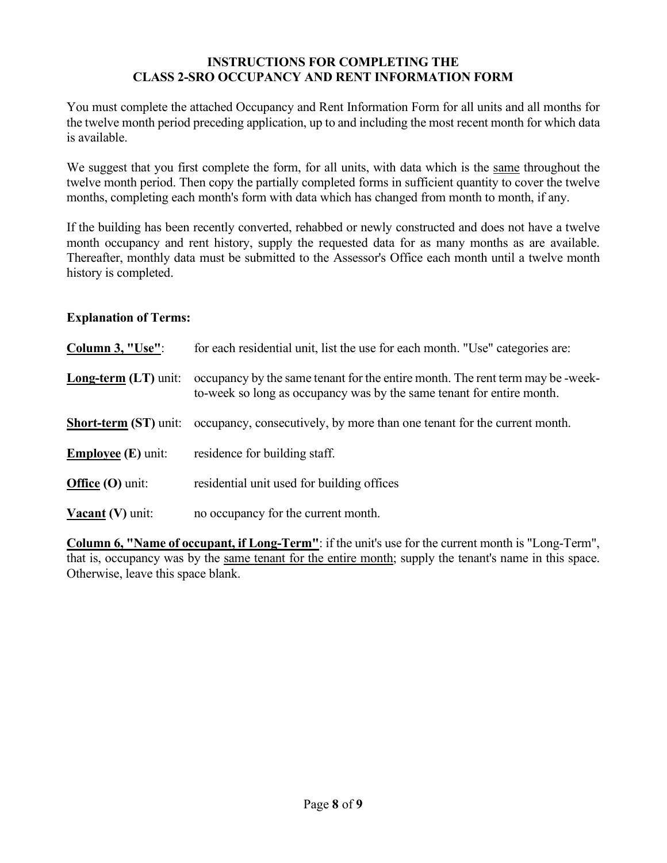#### **INSTRUCTIONS FOR COMPLETING THE CLASS 2-SRO OCCUPANCY AND RENT INFORMATION FORM**

You must complete the attached Occupancy and Rent Information Form for all units and all months for the twelve month period preceding application, up to and including the most recent month for which data is available.

We suggest that you first complete the form, for all units, with data which is the same throughout the twelve month period. Then copy the partially completed forms in sufficient quantity to cover the twelve months, completing each month's form with data which has changed from month to month, if any.

If the building has been recently converted, rehabbed or newly constructed and does not have a twelve month occupancy and rent history, supply the requested data for as many months as are available. Thereafter, monthly data must be submitted to the Assessor's Office each month until a twelve month history is completed.

#### **Explanation of Terms:**

| Column 3, "Use":                   | for each residential unit, list the use for each month. "Use" categories are:                                                                           |
|------------------------------------|---------------------------------------------------------------------------------------------------------------------------------------------------------|
| <b>Long-term (LT)</b> unit:        | occupancy by the same tenant for the entire month. The rent term may be -week-<br>to-week so long as occupancy was by the same tenant for entire month. |
| <b>Short-term (ST)</b> unit:       | occupancy, consecutively, by more than one tenant for the current month.                                                                                |
| <b>Employee</b> ( <b>E</b> ) unit: | residence for building staff.                                                                                                                           |
| Office $(O)$ unit:                 | residential unit used for building offices                                                                                                              |
| <b>Vacant</b> (V) unit:            | no occupancy for the current month.                                                                                                                     |

**Column 6, "Name of occupant, if Long-Term"**: if the unit's use for the current month is "Long-Term", that is, occupancy was by the same tenant for the entire month; supply the tenant's name in this space. Otherwise, leave this space blank.